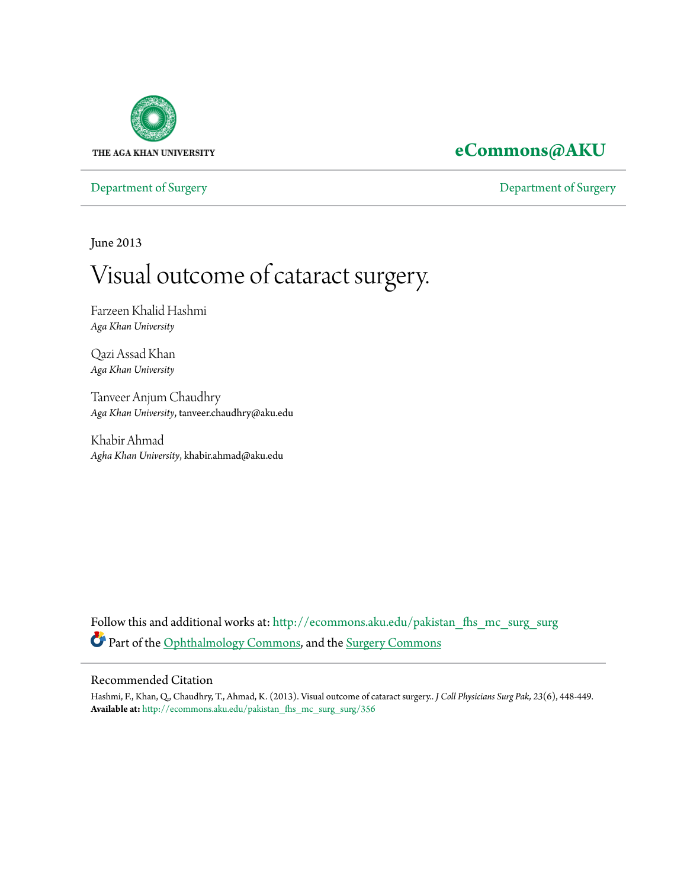

## **[eCommons@AKU](http://ecommons.aku.edu?utm_source=ecommons.aku.edu%2Fpakistan_fhs_mc_surg_surg%2F356&utm_medium=PDF&utm_campaign=PDFCoverPages)**

[Department of Surgery](http://ecommons.aku.edu/pakistan_fhs_mc_surg_surg?utm_source=ecommons.aku.edu%2Fpakistan_fhs_mc_surg_surg%2F356&utm_medium=PDF&utm_campaign=PDFCoverPages) [Department of Surgery](http://ecommons.aku.edu/pakistan_fhs_mc_surg?utm_source=ecommons.aku.edu%2Fpakistan_fhs_mc_surg_surg%2F356&utm_medium=PDF&utm_campaign=PDFCoverPages)

June 2013

# Visual outcome of cataract surgery.

Farzeen Khalid Hashmi *Aga Khan University*

Qazi Assad Khan *Aga Khan University*

Tanveer Anjum Chaudhry *Aga Khan University*, tanveer.chaudhry@aku.edu

Khabir Ahmad *Agha Khan University*, khabir.ahmad@aku.edu

Follow this and additional works at: [http://ecommons.aku.edu/pakistan\\_fhs\\_mc\\_surg\\_surg](http://ecommons.aku.edu/pakistan_fhs_mc_surg_surg?utm_source=ecommons.aku.edu%2Fpakistan_fhs_mc_surg_surg%2F356&utm_medium=PDF&utm_campaign=PDFCoverPages) Part of the [Ophthalmology Commons,](http://network.bepress.com/hgg/discipline/695?utm_source=ecommons.aku.edu%2Fpakistan_fhs_mc_surg_surg%2F356&utm_medium=PDF&utm_campaign=PDFCoverPages) and the [Surgery Commons](http://network.bepress.com/hgg/discipline/706?utm_source=ecommons.aku.edu%2Fpakistan_fhs_mc_surg_surg%2F356&utm_medium=PDF&utm_campaign=PDFCoverPages)

#### Recommended Citation

Hashmi, F., Khan, Q., Chaudhry, T., Ahmad, K. (2013). Visual outcome of cataract surgery.. *J Coll Physicians Surg Pak, 23*(6), 448-449. **Available at:** [http://ecommons.aku.edu/pakistan\\_fhs\\_mc\\_surg\\_surg/356](http://ecommons.aku.edu/pakistan_fhs_mc_surg_surg/356)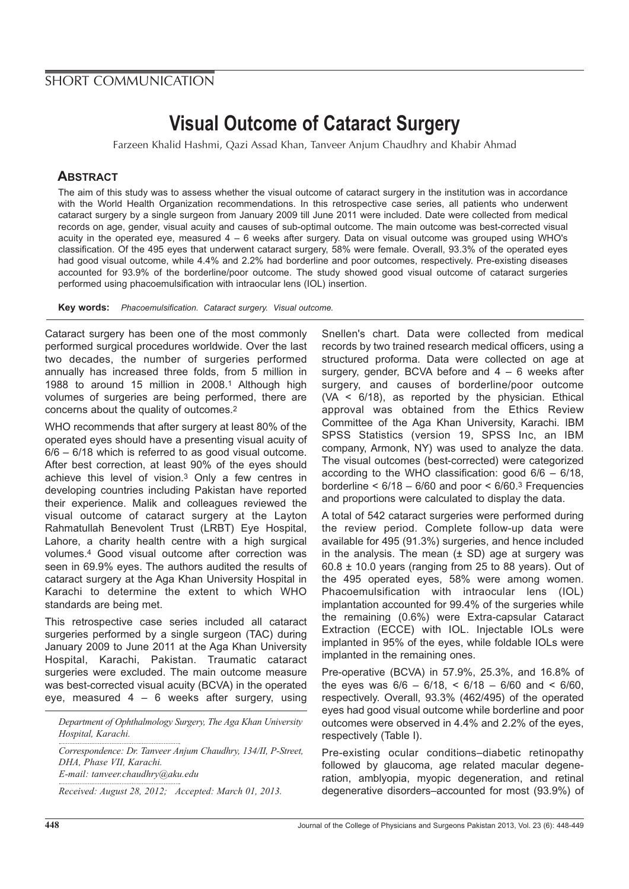## SHORT COMMUNICATION

# **Visual Outcome of Cataract Surgery**

Farzeen Khalid Hashmi, Qazi Assad Khan, Tanveer Anjum Chaudhry and Khabir Ahmad

### **ABSTRACT**

The aim of this study was to assess whether the visual outcome of cataract surgery in the institution was in accordance with the World Health Organization recommendations. In this retrospective case series, all patients who underwent cataract surgery by a single surgeon from January 2009 till June 2011 were included. Date were collected from medical records on age, gender, visual acuity and causes of sub-optimal outcome. The main outcome was best-corrected visual acuity in the operated eye, measured 4 – 6 weeks after surgery. Data on visual outcome was grouped using WHO's classification. Of the 495 eyes that underwent cataract surgery, 58% were female. Overall, 93.3% of the operated eyes had good visual outcome, while 4.4% and 2.2% had borderline and poor outcomes, respectively. Pre-existing diseases accounted for 93.9% of the borderline/poor outcome. The study showed good visual outcome of cataract surgeries performed using phacoemulsification with intraocular lens (IOL) insertion.

**Key words:** Phacoemulsification. Cataract surgery. Visual outcome.

Cataract surgery has been one of the most commonly performed surgical procedures worldwide. Over the last two decades, the number of surgeries performed annually has increased three folds, from 5 million in 1988 to around 15 million in 2008.1 Although high volumes of surgeries are being performed, there are concerns about the quality of outcomes.2

WHO recommends that after surgery at least 80% of the operated eyes should have a presenting visual acuity of 6/6 – 6/18 which is referred to as good visual outcome. After best correction, at least 90% of the eyes should achieve this level of vision.3 Only a few centres in developing countries including Pakistan have reported their experience. Malik and colleagues reviewed the visual outcome of cataract surgery at the Layton Rahmatullah Benevolent Trust (LRBT) Eye Hospital, Lahore, a charity health centre with a high surgical volumes.4 Good visual outcome after correction was seen in 69.9% eyes. The authors audited the results of cataract surgery at the Aga Khan University Hospital in Karachi to determine the extent to which WHO standards are being met.

This retrospective case series included all cataract surgeries performed by a single surgeon (TAC) during January 2009 to June 2011 at the Aga Khan University Hospital, Karachi, Pakistan. Traumatic cataract surgeries were excluded. The main outcome measure was best-corrected visual acuity (BCVA) in the operated eye, measured 4 – 6 weeks after surgery, using

*Department of Ophthalmology Surgery, The Aga Khan University Hospital, Karachi.*

*Correspondence: Dr. Tanveer Anjum Chaudhry, 134/II, P-Street, DHA, Phase VII, Karachi. E-mail: tanveer.chaudhry@aku.edu*

*Received: August 28, 2012; Accepted: March 01, 2013.*

Snellen's chart. Data were collected from medical records by two trained research medical officers, using a structured proforma. Data were collected on age at surgery, gender, BCVA before and 4 – 6 weeks after surgery, and causes of borderline/poor outcome  $(VA < 6/18)$ , as reported by the physician. Ethical approval was obtained from the Ethics Review Committee of the Aga Khan University, Karachi. IBM SPSS Statistics (version 19, SPSS Inc, an IBM company, Armonk, NY) was used to analyze the data. The visual outcomes (best-corrected) were categorized according to the WHO classification: good  $6/6 - 6/18$ , borderline  $< 6/18 - 6/60$  and poor  $< 6/60$ .<sup>3</sup> Frequencies and proportions were calculated to display the data.

A total of 542 cataract surgeries were performed during the review period. Complete follow-up data were available for 495 (91.3%) surgeries, and hence included in the analysis. The mean  $(\pm S_D)$  age at surgery was  $60.8 \pm 10.0$  years (ranging from 25 to 88 years). Out of the 495 operated eyes, 58% were among women. Phacoemulsification with intraocular lens (IOL) implantation accounted for 99.4% of the surgeries while the remaining (0.6%) were Extra-capsular Cataract Extraction (ECCE) with IOL. Injectable IOLs were implanted in 95% of the eyes, while foldable IOLs were implanted in the remaining ones.

Pre-operative (BCVA) in 57.9%, 25.3%, and 16.8% of the eyes was  $6/6 - 6/18$ , <  $6/18 - 6/60$  and <  $6/60$ , respectively. Overall, 93.3% (462/495) of the operated eyes had good visual outcome while borderline and poor outcomes were observed in 4.4% and 2.2% of the eyes, respectively (Table I).

Pre-existing ocular conditions–diabetic retinopathy followed by glaucoma, age related macular degeneration, amblyopia, myopic degeneration, and retinal degenerative disorders–accounted for most (93.9%) of